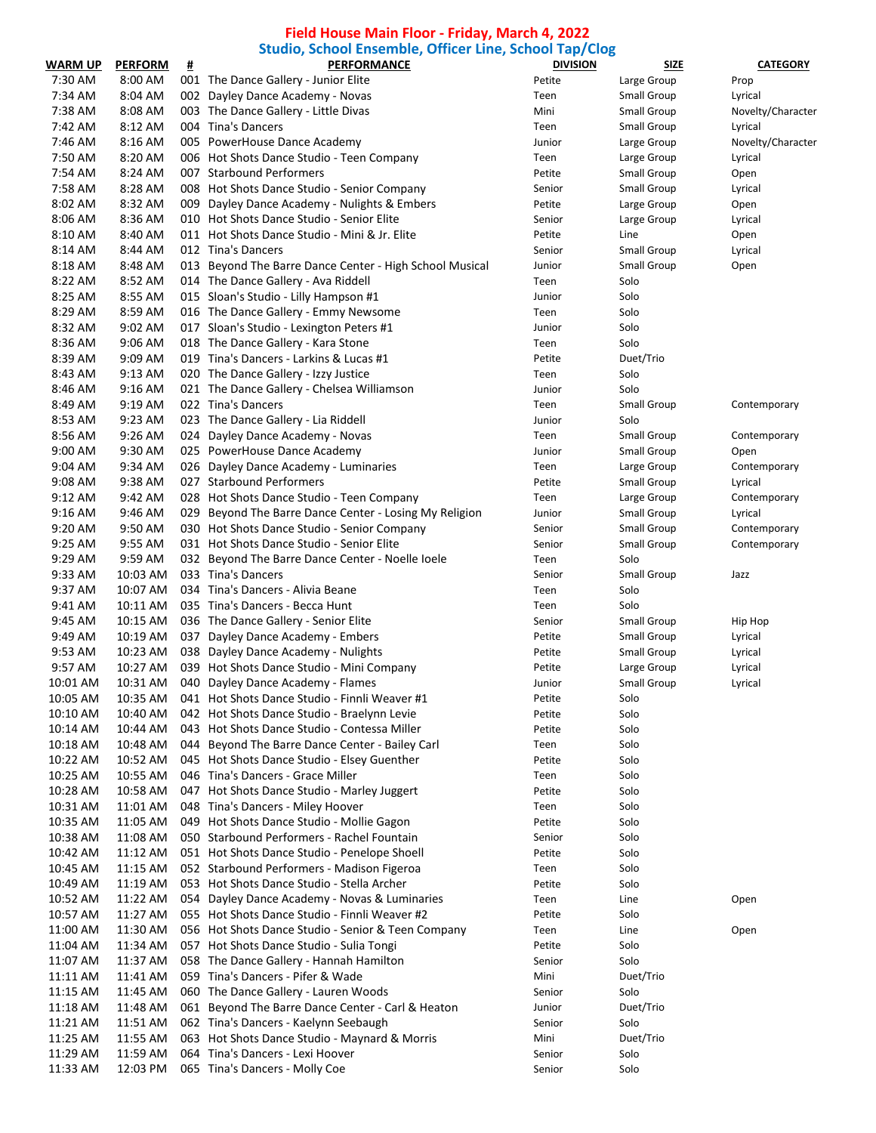## **Field House Main Floor - Friday, March 4, 2022 Studio, School Ensemble, Officer Line, School Tap/Clog**

| <b>WARM UP</b> | <b>PERFORM</b> | ₩. | staalo, school Enschipte, Onicer Ente, school Tap, clog<br><b>PERFORMANCE</b> | <b>DIVISION</b> | <b>SIZE</b>        | <b>CATEGORY</b>   |
|----------------|----------------|----|-------------------------------------------------------------------------------|-----------------|--------------------|-------------------|
| 7:30 AM        | 8:00 AM        |    | 001 The Dance Gallery - Junior Elite                                          | Petite          | Large Group        | Prop              |
| 7:34 AM        | 8:04 AM        |    | 002 Dayley Dance Academy - Novas                                              | Teen            | Small Group        | Lyrical           |
| 7:38 AM        | 8:08 AM        |    | 003 The Dance Gallery - Little Divas                                          | Mini            | Small Group        | Novelty/Character |
| 7:42 AM        | 8:12 AM        |    | 004 Tina's Dancers                                                            | Teen            | Small Group        | Lyrical           |
| 7:46 AM        | 8:16 AM        |    | 005 PowerHouse Dance Academy                                                  | Junior          | Large Group        | Novelty/Character |
| 7:50 AM        | 8:20 AM        |    | 006 Hot Shots Dance Studio - Teen Company                                     | Teen            | Large Group        | Lyrical           |
| 7:54 AM        | 8:24 AM        |    | 007 Starbound Performers                                                      | Petite          | Small Group        | Open              |
| 7:58 AM        | 8:28 AM        |    | 008 Hot Shots Dance Studio - Senior Company                                   | Senior          | <b>Small Group</b> | Lyrical           |
| 8:02 AM        | 8:32 AM        |    | 009 Dayley Dance Academy - Nulights & Embers                                  | Petite          | Large Group        | Open              |
| 8:06 AM        | 8:36 AM        |    | 010 Hot Shots Dance Studio - Senior Elite                                     | Senior          | Large Group        | Lyrical           |
| 8:10 AM        | 8:40 AM        |    | 011 Hot Shots Dance Studio - Mini & Jr. Elite                                 | Petite          | Line               | Open              |
| 8:14 AM        | 8:44 AM        |    | 012 Tina's Dancers                                                            | Senior          | Small Group        | Lyrical           |
| 8:18 AM        | 8:48 AM        |    | 013 Beyond The Barre Dance Center - High School Musical                       | Junior          | <b>Small Group</b> | Open              |
| 8:22 AM        | 8:52 AM        |    | 014 The Dance Gallery - Ava Riddell                                           | Teen            | Solo               |                   |
| 8:25 AM        | 8:55 AM        |    | 015 Sloan's Studio - Lilly Hampson #1                                         | Junior          | Solo               |                   |
| 8:29 AM        | 8:59 AM        |    | 016 The Dance Gallery - Emmy Newsome                                          | Teen            | Solo               |                   |
| 8:32 AM        | 9:02 AM        |    | 017 Sloan's Studio - Lexington Peters #1                                      | Junior          | Solo               |                   |
| 8:36 AM        | 9:06 AM        |    | 018 The Dance Gallery - Kara Stone                                            | Teen            | Solo               |                   |
| 8:39 AM        | 9:09 AM        |    | 019 Tina's Dancers - Larkins & Lucas #1                                       | Petite          | Duet/Trio          |                   |
| 8:43 AM        | 9:13 AM        |    | 020 The Dance Gallery - Izzy Justice                                          | Teen            | Solo               |                   |
| 8:46 AM        | 9:16 AM        |    | 021 The Dance Gallery - Chelsea Williamson                                    | Junior          | Solo               |                   |
| 8:49 AM        | 9:19 AM        |    | 022 Tina's Dancers                                                            | Teen            | <b>Small Group</b> | Contemporary      |
| 8:53 AM        | 9:23 AM        |    | 023 The Dance Gallery - Lia Riddell                                           | Junior          | Solo               |                   |
| 8:56 AM        | 9:26 AM        |    | 024 Dayley Dance Academy - Novas                                              | Teen            | Small Group        | Contemporary      |
| 9:00 AM        | 9:30 AM        |    | 025 PowerHouse Dance Academy                                                  | Junior          | <b>Small Group</b> | Open              |
| 9:04 AM        | 9:34 AM        |    | 026 Dayley Dance Academy - Luminaries                                         | Teen            | Large Group        | Contemporary      |
| 9:08 AM        | 9:38 AM        |    | 027 Starbound Performers                                                      | Petite          | Small Group        | Lyrical           |
| $9:12$ AM      | 9:42 AM        |    | 028 Hot Shots Dance Studio - Teen Company                                     | Teen            | Large Group        | Contemporary      |
| 9:16 AM        | 9:46 AM        |    | 029 Beyond The Barre Dance Center - Losing My Religion                        | Junior          | Small Group        | Lyrical           |
| 9:20 AM        | 9:50 AM        |    | 030 Hot Shots Dance Studio - Senior Company                                   | Senior          | Small Group        | Contemporary      |
| 9:25 AM        | 9:55 AM        |    | 031 Hot Shots Dance Studio - Senior Elite                                     | Senior          | Small Group        | Contemporary      |
| 9:29 AM        | 9:59 AM        |    | 032 Beyond The Barre Dance Center - Noelle loele                              | Teen            | Solo               |                   |
| 9:33 AM        | 10:03 AM       |    | 033 Tina's Dancers                                                            | Senior          | Small Group        | Jazz              |
| 9:37 AM        | 10:07 AM       |    | 034 Tina's Dancers - Alivia Beane                                             | Teen            | Solo               |                   |
| 9:41 AM        | 10:11 AM       |    | 035 Tina's Dancers - Becca Hunt                                               | Teen            | Solo               |                   |
| 9:45 AM        | 10:15 AM       |    | 036 The Dance Gallery - Senior Elite                                          | Senior          | <b>Small Group</b> | Hip Hop           |
| 9:49 AM        | 10:19 AM       |    | 037 Dayley Dance Academy - Embers                                             | Petite          | Small Group        | Lyrical           |
| 9:53 AM        | 10:23 AM       |    | 038 Dayley Dance Academy - Nulights                                           | Petite          | Small Group        | Lyrical           |
| 9:57 AM        | 10:27 AM       |    | 039 Hot Shots Dance Studio - Mini Company                                     | Petite          | Large Group        | Lyrical           |
| 10:01 AM       | 10:31 AM       |    | 040 Dayley Dance Academy - Flames                                             | Junior          | Small Group        | Lyrical           |
| 10:05 AM       | 10:35 AM       |    | 041 Hot Shots Dance Studio - Finnli Weaver #1                                 | Petite          | Solo               |                   |
| 10:10 AM       | 10:40 AM       |    | 042 Hot Shots Dance Studio - Braelynn Levie                                   | Petite          | Solo               |                   |
| 10:14 AM       | 10:44 AM       |    | 043 Hot Shots Dance Studio - Contessa Miller                                  | Petite          | Solo               |                   |
| 10:18 AM       | 10:48 AM       |    | 044 Beyond The Barre Dance Center - Bailey Carl                               | Teen            | Solo               |                   |
| 10:22 AM       | 10:52 AM       |    | 045 Hot Shots Dance Studio - Elsey Guenther                                   | Petite          | Solo               |                   |
| 10:25 AM       | 10:55 AM       |    | 046 Tina's Dancers - Grace Miller                                             | Teen            | Solo               |                   |
| 10:28 AM       | 10:58 AM       |    | 047 Hot Shots Dance Studio - Marley Juggert                                   | Petite          | Solo               |                   |
| 10:31 AM       | 11:01 AM       |    | 048 Tina's Dancers - Miley Hoover                                             | Teen            | Solo               |                   |
| 10:35 AM       | 11:05 AM       |    | 049 Hot Shots Dance Studio - Mollie Gagon                                     | Petite          | Solo               |                   |
| 10:38 AM       | 11:08 AM       |    | 050 Starbound Performers - Rachel Fountain                                    | Senior          | Solo               |                   |
| 10:42 AM       | 11:12 AM       |    | 051 Hot Shots Dance Studio - Penelope Shoell                                  | Petite          | Solo               |                   |
| 10:45 AM       | 11:15 AM       |    | 052 Starbound Performers - Madison Figeroa                                    | Teen            | Solo               |                   |
| 10:49 AM       | 11:19 AM       |    | 053 Hot Shots Dance Studio - Stella Archer                                    | Petite          | Solo               |                   |
| 10:52 AM       | 11:22 AM       |    | 054 Dayley Dance Academy - Novas & Luminaries                                 | Teen            | Line               | Open              |
| 10:57 AM       | 11:27 AM       |    | 055 Hot Shots Dance Studio - Finnli Weaver #2                                 | Petite          | Solo               |                   |
| 11:00 AM       | 11:30 AM       |    | 056 Hot Shots Dance Studio - Senior & Teen Company                            | Teen            | Line               | Open              |
| 11:04 AM       | 11:34 AM       |    | 057 Hot Shots Dance Studio - Sulia Tongi                                      | Petite          | Solo               |                   |
| 11:07 AM       | 11:37 AM       |    | 058 The Dance Gallery - Hannah Hamilton                                       | Senior          | Solo               |                   |
| 11:11 AM       | 11:41 AM       |    | 059 Tina's Dancers - Pifer & Wade                                             | Mini            | Duet/Trio          |                   |
| 11:15 AM       | 11:45 AM       |    | 060 The Dance Gallery - Lauren Woods                                          | Senior          | Solo               |                   |
| 11:18 AM       | 11:48 AM       |    | 061 Beyond The Barre Dance Center - Carl & Heaton                             | Junior          | Duet/Trio          |                   |
| 11:21 AM       | 11:51 AM       |    | 062 Tina's Dancers - Kaelynn Seebaugh                                         | Senior          | Solo               |                   |
| 11:25 AM       | 11:55 AM       |    | 063 Hot Shots Dance Studio - Maynard & Morris                                 | Mini            | Duet/Trio          |                   |
| 11:29 AM       | 11:59 AM       |    | 064 Tina's Dancers - Lexi Hoover                                              | Senior          | Solo               |                   |
| 11:33 AM       | 12:03 PM       |    | 065 Tina's Dancers - Molly Coe                                                | Senior          | Solo               |                   |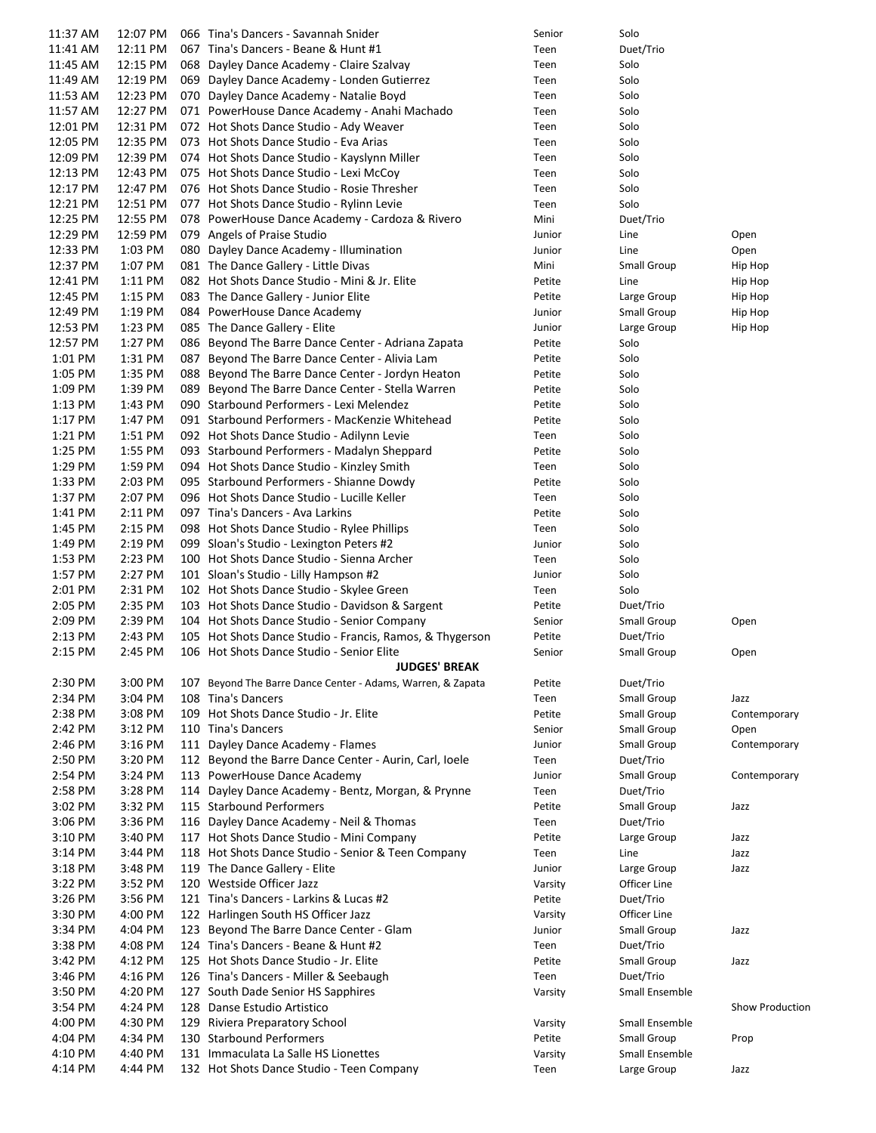| 11:37 AM           | 12:07 PM           | 066 Tina's Dancers - Savannah Snider                                              | Senior         | Solo           |                        |
|--------------------|--------------------|-----------------------------------------------------------------------------------|----------------|----------------|------------------------|
| 11:41 AM           | 12:11 PM           | 067 Tina's Dancers - Beane & Hunt #1                                              | Teen           | Duet/Trio      |                        |
| 11:45 AM           | 12:15 PM           | 068 Dayley Dance Academy - Claire Szalvay                                         | Teen           | Solo           |                        |
| 11:49 AM           | 12:19 PM           | 069 Dayley Dance Academy - Londen Gutierrez                                       | Teen           | Solo           |                        |
| 11:53 AM           | 12:23 PM           | 070 Dayley Dance Academy - Natalie Boyd                                           | Teen           | Solo           |                        |
| 11:57 AM           | 12:27 PM           | 071 PowerHouse Dance Academy - Anahi Machado                                      | Teen           | Solo           |                        |
| 12:01 PM           | 12:31 PM           | 072 Hot Shots Dance Studio - Ady Weaver                                           | Teen           | Solo           |                        |
| 12:05 PM           | 12:35 PM           | 073 Hot Shots Dance Studio - Eva Arias                                            | Teen           | Solo           |                        |
| 12:09 PM           | 12:39 PM           | 074 Hot Shots Dance Studio - Kayslynn Miller                                      | Teen           | Solo           |                        |
| 12:13 PM           | 12:43 PM           | 075 Hot Shots Dance Studio - Lexi McCoy                                           | Teen           | Solo           |                        |
| 12:17 PM           | 12:47 PM           | 076 Hot Shots Dance Studio - Rosie Thresher                                       | Teen           | Solo           |                        |
| 12:21 PM           | 12:51 PM           | 077 Hot Shots Dance Studio - Rylinn Levie                                         | Teen           | Solo           |                        |
| 12:25 PM           | 12:55 PM           | 078 PowerHouse Dance Academy - Cardoza & Rivero                                   | Mini           | Duet/Trio      |                        |
| 12:29 PM           | 12:59 PM           | 079 Angels of Praise Studio                                                       | Junior         | Line           | Open                   |
| 12:33 PM           | 1:03 PM            | 080 Dayley Dance Academy - Illumination                                           | Junior         | Line           | Open                   |
| 12:37 PM           | 1:07 PM            | 081 The Dance Gallery - Little Divas                                              | Mini           | Small Group    | Hip Hop                |
| 12:41 PM           | $1:11$ PM          | 082 Hot Shots Dance Studio - Mini & Jr. Elite                                     | Petite         | Line           | Hip Hop                |
| 12:45 PM           | 1:15 PM            | 083 The Dance Gallery - Junior Elite                                              | Petite         | Large Group    | Hip Hop                |
| 12:49 PM           | 1:19 PM            | 084 PowerHouse Dance Academy                                                      | Junior         | Small Group    | Hip Hop                |
| 12:53 PM           | 1:23 PM            | 085 The Dance Gallery - Elite                                                     | Junior         | Large Group    | Hip Hop                |
| 12:57 PM           | 1:27 PM            | 086 Beyond The Barre Dance Center - Adriana Zapata                                | Petite         | Solo           |                        |
| 1:01 PM            | 1:31 PM            | 087 Beyond The Barre Dance Center - Alivia Lam                                    | Petite         | Solo           |                        |
| 1:05 PM            | 1:35 PM            | 088 Beyond The Barre Dance Center - Jordyn Heaton                                 | Petite         | Solo           |                        |
| 1:09 PM            | 1:39 PM            | 089 Beyond The Barre Dance Center - Stella Warren                                 | Petite         | Solo           |                        |
| 1:13 PM            | 1:43 PM            | 090 Starbound Performers - Lexi Melendez                                          | Petite         | Solo           |                        |
| 1:17 PM            | 1:47 PM            | 091 Starbound Performers - MacKenzie Whitehead                                    | Petite         | Solo           |                        |
| 1:21 PM            | 1:51 PM            | 092 Hot Shots Dance Studio - Adilynn Levie                                        | Teen           | Solo           |                        |
| 1:25 PM            | 1:55 PM            | 093 Starbound Performers - Madalyn Sheppard                                       | Petite         | Solo           |                        |
| 1:29 PM            | 1:59 PM            | 094 Hot Shots Dance Studio - Kinzley Smith                                        | Teen           | Solo           |                        |
| 1:33 PM            | 2:03 PM            | 095 Starbound Performers - Shianne Dowdy                                          | Petite         | Solo           |                        |
| 1:37 PM            | 2:07 PM            | 096 Hot Shots Dance Studio - Lucille Keller                                       |                | Solo           |                        |
|                    |                    | 097 Tina's Dancers - Ava Larkins                                                  | Teen<br>Petite | Solo           |                        |
| 1:41 PM<br>1:45 PM | 2:11 PM<br>2:15 PM |                                                                                   |                | Solo           |                        |
|                    |                    | 098 Hot Shots Dance Studio - Rylee Phillips                                       | Teen           |                |                        |
| 1:49 PM            | 2:19 PM            | 099 Sloan's Studio - Lexington Peters #2                                          | Junior         | Solo           |                        |
| 1:53 PM            | 2:23 PM            | 100 Hot Shots Dance Studio - Sienna Archer                                        | Teen           | Solo           |                        |
| 1:57 PM            | 2:27 PM            | 101 Sloan's Studio - Lilly Hampson #2                                             | Junior         | Solo           |                        |
| 2:01 PM            | 2:31 PM            | 102 Hot Shots Dance Studio - Skylee Green                                         | Teen           | Solo           |                        |
| 2:05 PM            | 2:35 PM            | 103 Hot Shots Dance Studio - Davidson & Sargent                                   | Petite         | Duet/Trio      |                        |
| 2:09 PM            | 2:39 PM            | 104 Hot Shots Dance Studio - Senior Company                                       | Senior         | Small Group    | Open                   |
| 2:13 PM            | 2:43 PM            | 105 Hot Shots Dance Studio - Francis, Ramos, & Thygerson                          | Petite         | Duet/Trio      |                        |
| 2:15 PM            | 2:45 PM            | 106 Hot Shots Dance Studio - Senior Elite<br><b>JUDGES' BREAK</b>                 | Senior         | Small Group    | Open                   |
|                    |                    |                                                                                   |                |                |                        |
| 2:30 PM<br>2:34 PM | 3:00 PM<br>3:04 PM | 107 Beyond The Barre Dance Center - Adams, Warren, & Zapata<br>108 Tina's Dancers | Petite         | Duet/Trio      |                        |
|                    |                    |                                                                                   | Teen           | Small Group    | Jazz                   |
| 2:38 PM            | 3:08 PM            | 109 Hot Shots Dance Studio - Jr. Elite                                            | Petite         | Small Group    | Contemporary           |
| 2:42 PM            | 3:12 PM            | 110 Tina's Dancers                                                                | Senior         | Small Group    | Open                   |
| 2:46 PM            | 3:16 PM            | 111 Dayley Dance Academy - Flames                                                 | Junior         | Small Group    | Contemporary           |
| 2:50 PM            | 3:20 PM            | 112 Beyond the Barre Dance Center - Aurin, Carl, Ioele                            | Teen           | Duet/Trio      |                        |
| 2:54 PM            | 3:24 PM<br>3:28 PM | 113 PowerHouse Dance Academy                                                      | Junior         | Small Group    | Contemporary           |
| 2:58 PM            |                    | 114 Dayley Dance Academy - Bentz, Morgan, & Prynne                                | Teen           | Duet/Trio      |                        |
| 3:02 PM            | 3:32 PM            | 115 Starbound Performers                                                          | Petite         | Small Group    | Jazz                   |
| 3:06 PM            | 3:36 PM            | 116 Dayley Dance Academy - Neil & Thomas                                          | Teen           | Duet/Trio      |                        |
| 3:10 PM            | 3:40 PM            | 117 Hot Shots Dance Studio - Mini Company                                         | Petite         | Large Group    | Jazz                   |
| $3:14$ PM          | 3:44 PM            | 118 Hot Shots Dance Studio - Senior & Teen Company                                | Teen           | Line           | Jazz                   |
| 3:18 PM            | 3:48 PM            | 119 The Dance Gallery - Elite                                                     | Junior         | Large Group    | Jazz                   |
| 3:22 PM            | 3:52 PM            | 120 Westside Officer Jazz                                                         | Varsity        | Officer Line   |                        |
| 3:26 PM            | 3:56 PM            | 121 Tina's Dancers - Larkins & Lucas #2                                           | Petite         | Duet/Trio      |                        |
| 3:30 PM            | 4:00 PM            | 122 Harlingen South HS Officer Jazz                                               | Varsity        | Officer Line   |                        |
| 3:34 PM            | 4:04 PM            | 123 Beyond The Barre Dance Center - Glam                                          | Junior         | Small Group    | Jazz                   |
| 3:38 PM            | 4:08 PM            | 124 Tina's Dancers - Beane & Hunt #2                                              | Teen           | Duet/Trio      |                        |
| 3:42 PM            | 4:12 PM            | 125 Hot Shots Dance Studio - Jr. Elite                                            | Petite         | Small Group    | Jazz                   |
| 3:46 PM            | 4:16 PM            | 126 Tina's Dancers - Miller & Seebaugh                                            | Teen           | Duet/Trio      |                        |
| 3:50 PM            | 4:20 PM            | 127 South Dade Senior HS Sapphires                                                | Varsity        | Small Ensemble |                        |
| 3:54 PM            | 4:24 PM            | 128 Danse Estudio Artistico                                                       |                |                | <b>Show Production</b> |
| 4:00 PM            | 4:30 PM            | 129 Riviera Preparatory School                                                    | Varsity        | Small Ensemble |                        |
| 4:04 PM            | 4:34 PM            | 130 Starbound Performers                                                          | Petite         | Small Group    | Prop                   |
| 4:10 PM            | 4:40 PM            | 131 Immaculata La Salle HS Lionettes                                              | Varsity        | Small Ensemble |                        |
| 4:14 PM            | 4:44 PM            | 132 Hot Shots Dance Studio - Teen Company                                         | Teen           | Large Group    | Jazz                   |